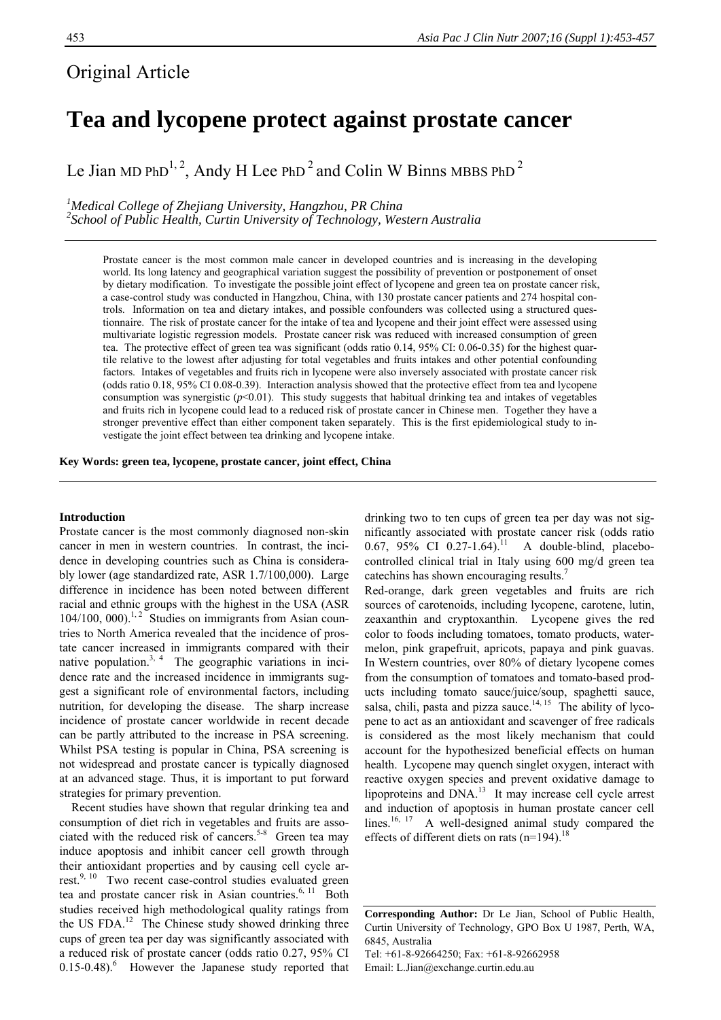# Original Article

# **Tea and lycopene protect against prostate cancer**

Le Jian MD PhD<sup>1, 2</sup>, Andy H Lee PhD<sup>2</sup> and Colin W Binns MBBS PhD<sup>2</sup>

<sup>1</sup> Medical College of Zhejiang University, Hangzhou, PR China <sup>2</sup> Sebool of Bublic Haglib Curtin University of Technology Wes *School of Public Health, Curtin University of Technology, Western Australia* 

Prostate cancer is the most common male cancer in developed countries and is increasing in the developing world. Its long latency and geographical variation suggest the possibility of prevention or postponement of onset by dietary modification. To investigate the possible joint effect of lycopene and green tea on prostate cancer risk, a case-control study was conducted in Hangzhou, China, with 130 prostate cancer patients and 274 hospital controls. Information on tea and dietary intakes, and possible confounders was collected using a structured questionnaire. The risk of prostate cancer for the intake of tea and lycopene and their joint effect were assessed using multivariate logistic regression models. Prostate cancer risk was reduced with increased consumption of green tea. The protective effect of green tea was significant (odds ratio 0.14, 95% CI: 0.06-0.35) for the highest quartile relative to the lowest after adjusting for total vegetables and fruits intakes and other potential confounding factors. Intakes of vegetables and fruits rich in lycopene were also inversely associated with prostate cancer risk (odds ratio 0.18, 95% CI 0.08-0.39). Interaction analysis showed that the protective effect from tea and lycopene consumption was synergistic  $(p<0.01)$ . This study suggests that habitual drinking tea and intakes of vegetables and fruits rich in lycopene could lead to a reduced risk of prostate cancer in Chinese men. Together they have a stronger preventive effect than either component taken separately. This is the first epidemiological study to investigate the joint effect between tea drinking and lycopene intake.

**Key Words: green tea, lycopene, prostate cancer, joint effect, China** 

## **Introduction**

Prostate cancer is the most commonly diagnosed non-skin cancer in men in western countries. In contrast, the incidence in developing countries such as China is considerably lower (age standardized rate, ASR 1.7/100,000). Large difference in incidence has been noted between different racial and ethnic groups with the highest in the USA (ASR 104/100, 000).<sup>1,2</sup> Studies on immigrants from Asian countries to North America revealed that the incidence of prostate cancer increased in immigrants compared with their native population.<sup>3, 4</sup> The geographic variations in incidence rate and the increased incidence in immigrants suggest a significant role of environmental factors, including nutrition, for developing the disease. The sharp increase incidence of prostate cancer worldwide in recent decade can be partly attributed to the increase in PSA screening. Whilst PSA testing is popular in China, PSA screening is not widespread and prostate cancer is typically diagnosed at an advanced stage. Thus, it is important to put forward strategies for primary prevention.

Recent studies have shown that regular drinking tea and consumption of diet rich in vegetables and fruits are associated with the reduced risk of cancers.<sup>5-8</sup> Green tea may induce apoptosis and inhibit cancer cell growth through their antioxidant properties and by causing cell cycle arrest.<sup>9, 10</sup> Two recent case-control studies evaluated green tea and prostate cancer risk in Asian countries.<sup>6, 11</sup> Both studies received high methodological quality ratings from the US FDA.<sup>12</sup> The Chinese study showed drinking three cups of green tea per day was significantly associated with a reduced risk of prostate cancer (odds ratio 0.27, 95% CI  $0.15$ -0.48). However the Japanese study reported that drinking two to ten cups of green tea per day was not significantly associated with prostate cancer risk (odds ratio 0.67, 95% CI 0.27-1.64).<sup>11</sup> A double-blind, placebocontrolled clinical trial in Italy using 600 mg/d green tea catechins has shown encouraging results.7

Red-orange, dark green vegetables and fruits are rich sources of carotenoids, including lycopene, carotene, lutin, zeaxanthin and cryptoxanthin. Lycopene gives the red color to foods including tomatoes, tomato products, watermelon, pink grapefruit, apricots, papaya and pink guavas. In Western countries, over 80% of dietary lycopene comes from the consumption of tomatoes and tomato-based products including tomato sauce/juice/soup, spaghetti sauce, salsa, chili, pasta and pizza sauce.<sup>14, 15</sup> The ability of lycopene to act as an antioxidant and scavenger of free radicals is considered as the most likely mechanism that could account for the hypothesized beneficial effects on human health. Lycopene may quench singlet oxygen, interact with reactive oxygen species and prevent oxidative damage to lipoproteins and DNA.<sup>13</sup> It may increase cell cycle arrest and induction of apoptosis in human prostate cancer cell lines.<sup>16, 17</sup> A well-designed animal study compared the effects of different diets on rats  $(n=194)$ .<sup>18</sup>

**Corresponding Author:** Dr Le Jian, School of Public Health, Curtin University of Technology, GPO Box U 1987, Perth, WA, 6845, Australia Tel: +61-8-92664250; Fax: +61-8-92662958 Email: L.Jian@exchange.curtin.edu.au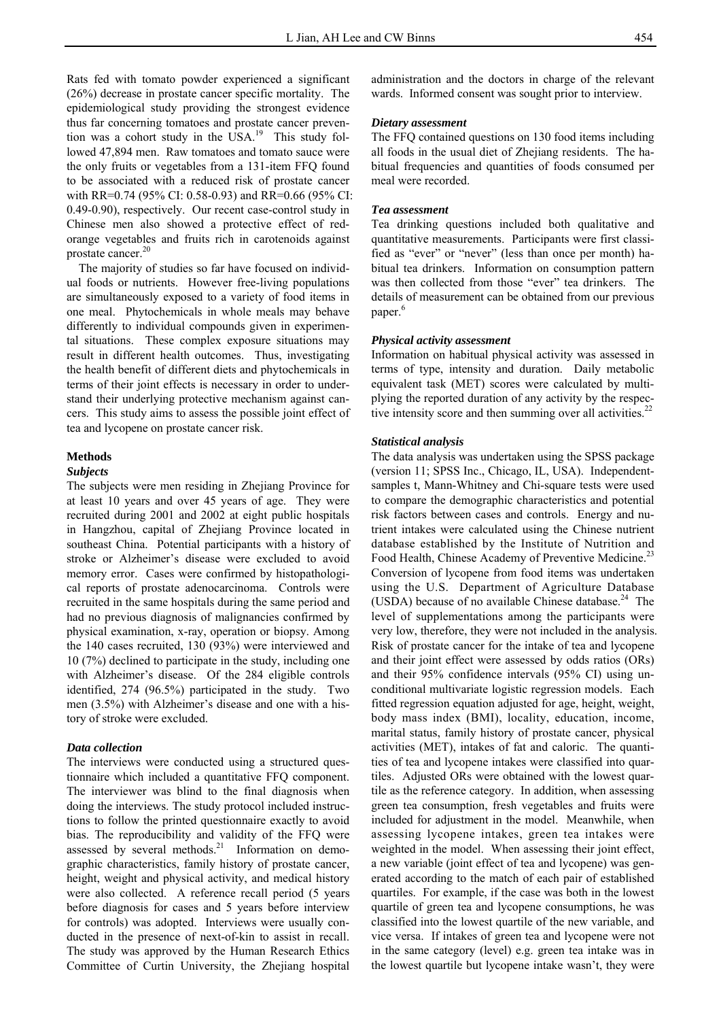Rats fed with tomato powder experienced a significant (26%) decrease in prostate cancer specific mortality. The epidemiological study providing the strongest evidence thus far concerning tomatoes and prostate cancer prevention was a cohort study in the  $USA^{19}$  This study followed 47,894 men. Raw tomatoes and tomato sauce were the only fruits or vegetables from a 131-item FFQ found to be associated with a reduced risk of prostate cancer with RR=0.74 (95% CI: 0.58-0.93) and RR=0.66 (95% CI: 0.49-0.90), respectively. Our recent case-control study in Chinese men also showed a protective effect of redorange vegetables and fruits rich in carotenoids against prostate cancer.<sup>20</sup>

The majority of studies so far have focused on individual foods or nutrients. However free-living populations are simultaneously exposed to a variety of food items in one meal. Phytochemicals in whole meals may behave differently to individual compounds given in experimental situations. These complex exposure situations may result in different health outcomes. Thus, investigating the health benefit of different diets and phytochemicals in terms of their joint effects is necessary in order to understand their underlying protective mechanism against cancers. This study aims to assess the possible joint effect of tea and lycopene on prostate cancer risk.

#### **Methods**

### *Subjects*

The subjects were men residing in Zhejiang Province for at least 10 years and over 45 years of age. They were recruited during 2001 and 2002 at eight public hospitals in Hangzhou, capital of Zhejiang Province located in southeast China. Potential participants with a history of stroke or Alzheimer's disease were excluded to avoid memory error. Cases were confirmed by histopathological reports of prostate adenocarcinoma. Controls were recruited in the same hospitals during the same period and had no previous diagnosis of malignancies confirmed by physical examination, x-ray, operation or biopsy. Among the 140 cases recruited, 130 (93%) were interviewed and 10 (7%) declined to participate in the study, including one with Alzheimer's disease. Of the 284 eligible controls identified, 274 (96.5%) participated in the study. Two men (3.5%) with Alzheimer's disease and one with a history of stroke were excluded.

## *Data collection*

The interviews were conducted using a structured questionnaire which included a quantitative FFQ component. The interviewer was blind to the final diagnosis when doing the interviews. The study protocol included instructions to follow the printed questionnaire exactly to avoid bias. The reproducibility and validity of the FFQ were assessed by several methods.<sup>21</sup> Information on demographic characteristics, family history of prostate cancer, height, weight and physical activity, and medical history were also collected. A reference recall period (5 years before diagnosis for cases and 5 years before interview for controls) was adopted. Interviews were usually conducted in the presence of next-of-kin to assist in recall. The study was approved by the Human Research Ethics Committee of Curtin University, the Zhejiang hospital

administration and the doctors in charge of the relevant wards. Informed consent was sought prior to interview.

#### *Dietary assessment*

The FFQ contained questions on 130 food items including all foods in the usual diet of Zhejiang residents. The habitual frequencies and quantities of foods consumed per meal were recorded.

#### *Tea assessment*

Tea drinking questions included both qualitative and quantitative measurements. Participants were first classified as "ever" or "never" (less than once per month) habitual tea drinkers. Information on consumption pattern was then collected from those "ever" tea drinkers. The details of measurement can be obtained from our previous paper.<sup>6</sup>

#### *Physical activity assessment*

Information on habitual physical activity was assessed in terms of type, intensity and duration. Daily metabolic equivalent task (MET) scores were calculated by multiplying the reported duration of any activity by the respective intensity score and then summing over all activities.<sup>22</sup>

## *Statistical analysis*

The data analysis was undertaken using the SPSS package (version 11; SPSS Inc., Chicago, IL, USA). Independentsamples t, Mann-Whitney and Chi-square tests were used to compare the demographic characteristics and potential risk factors between cases and controls. Energy and nutrient intakes were calculated using the Chinese nutrient database established by the Institute of Nutrition and Food Health, Chinese Academy of Preventive Medicine.<sup>23</sup> Conversion of lycopene from food items was undertaken using the U.S. Department of Agriculture Database (USDA) because of no available Chinese database. $^{24}$  The level of supplementations among the participants were very low, therefore, they were not included in the analysis. Risk of prostate cancer for the intake of tea and lycopene and their joint effect were assessed by odds ratios (ORs) and their 95% confidence intervals (95% CI) using unconditional multivariate logistic regression models. Each fitted regression equation adjusted for age, height, weight, body mass index (BMI), locality, education, income, marital status, family history of prostate cancer, physical activities (MET), intakes of fat and caloric. The quantities of tea and lycopene intakes were classified into quartiles. Adjusted ORs were obtained with the lowest quartile as the reference category. In addition, when assessing green tea consumption, fresh vegetables and fruits were included for adjustment in the model. Meanwhile, when assessing lycopene intakes, green tea intakes were weighted in the model. When assessing their joint effect, a new variable (joint effect of tea and lycopene) was generated according to the match of each pair of established quartiles. For example, if the case was both in the lowest quartile of green tea and lycopene consumptions, he was classified into the lowest quartile of the new variable, and vice versa. If intakes of green tea and lycopene were not in the same category (level) e.g. green tea intake was in the lowest quartile but lycopene intake wasn't, they were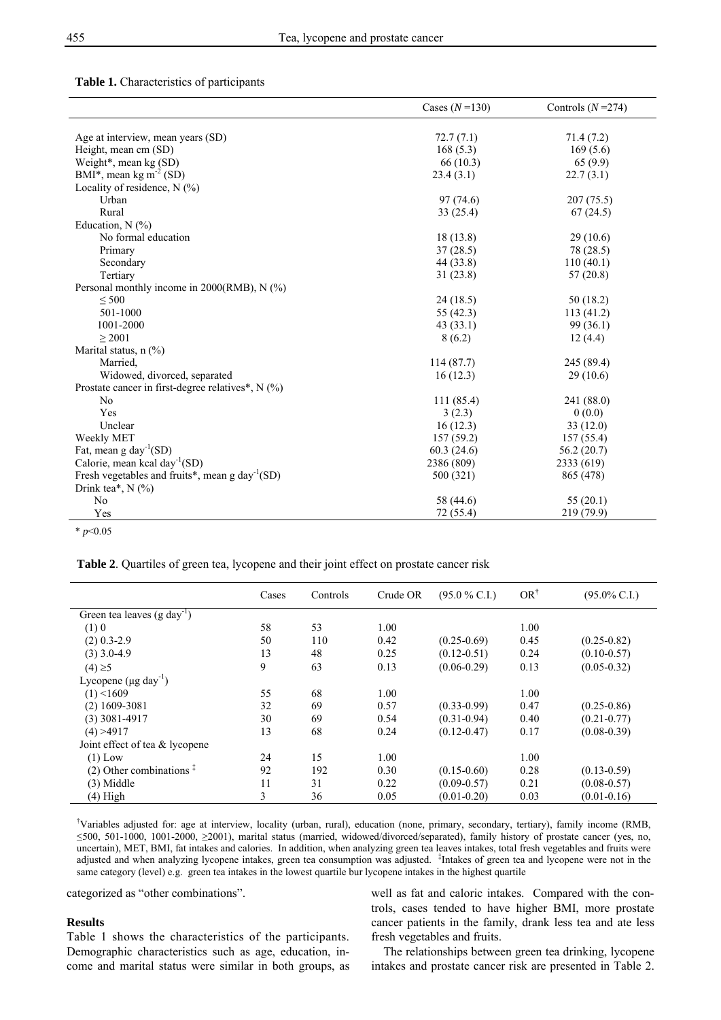#### **Table 1.** Characteristics of participants

|                                                                          | Cases $(N=130)$ | Controls $(N=274)$ |
|--------------------------------------------------------------------------|-----------------|--------------------|
|                                                                          |                 |                    |
| Age at interview, mean years (SD)                                        | 72.7(7.1)       | 71.4 (7.2)         |
| Height, mean cm (SD)                                                     | 168(5.3)        | 169(5.6)           |
| Weight*, mean kg (SD)                                                    | 66(10.3)        | 65(9.9)            |
| BMI*, mean kg m <sup>-2</sup> (SD)                                       | 23.4(3.1)       | 22.7(3.1)          |
| Locality of residence, $N$ (%)                                           |                 |                    |
| Urban                                                                    | 97 (74.6)       | 207(75.5)          |
| Rural                                                                    | 33(25.4)        | 67(24.5)           |
| Education, $N$ (%)                                                       |                 |                    |
| No formal education                                                      | 18(13.8)        | 29(10.6)           |
| Primary                                                                  | 37(28.5)        | 78 (28.5)          |
| Secondary                                                                | 44 (33.8)       | 110(40.1)          |
| Tertiary                                                                 | 31(23.8)        | 57(20.8)           |
| Personal monthly income in $2000(RMB)$ , N $(^{9}$ <sub>0</sub> )        |                 |                    |
| $\leq 500$                                                               | 24(18.5)        | 50(18.2)           |
| 501-1000                                                                 | 55 (42.3)       | 113(41.2)          |
| 1001-2000                                                                | 43(33.1)        | 99(36.1)           |
| $\geq 2001$                                                              | 8(6.2)          | 12(4.4)            |
| Marital status, $n$ $\left(\frac{9}{6}\right)$                           |                 |                    |
| Married.                                                                 | 114(87.7)       | 245 (89.4)         |
| Widowed, divorced, separated                                             | 16(12.3)        | 29(10.6)           |
| Prostate cancer in first-degree relatives*, $N$ (%)                      |                 |                    |
| No                                                                       | 111(85.4)       | 241 (88.0)         |
| Yes                                                                      | 3(2.3)          | 0(0.0)             |
| Unclear                                                                  | 16(12.3)        | 33(12.0)           |
| Weekly MET                                                               | 157(59.2)       | 157(55.4)          |
| Fat, mean $g \, day^{-1}(SD)$                                            | 60.3(24.6)      | 56.2(20.7)         |
| Calorie, mean kcal day <sup>-1</sup> (SD)                                | 2386 (809)      | 2333 (619)         |
| Fresh vegetables and fruits <sup>*</sup> , mean g day <sup>-1</sup> (SD) | 500 (321)       | 865 (478)          |
| Drink tea*, $N$ (%)                                                      |                 |                    |
| No                                                                       | 58 (44.6)       | 55(20.1)           |
| Yes                                                                      | 72 (55.4)       | 219 (79.9)         |
| * $p<0.05$                                                               |                 |                    |

**Table 2**. Quartiles of green tea, lycopene and their joint effect on prostate cancer risk

|                                         | Cases | Controls | Crude OR | $(95.0\%$ C.I.) | $OR^{\dagger}$ | $(95.0\% \text{ C.I.})$ |
|-----------------------------------------|-------|----------|----------|-----------------|----------------|-------------------------|
| Green tea leaves (g day <sup>-1</sup> ) |       |          |          |                 |                |                         |
| (1)0                                    | 58    | 53       | 1.00     |                 | 1.00           |                         |
| $(2)$ 0.3-2.9                           | 50    | 110      | 0.42     | $(0.25 - 0.69)$ | 0.45           | $(0.25 - 0.82)$         |
| $(3)$ 3.0-4.9                           | 13    | 48       | 0.25     | $(0.12 - 0.51)$ | 0.24           | $(0.10 - 0.57)$         |
| $(4) \ge 5$                             | 9     | 63       | 0.13     | $(0.06 - 0.29)$ | 0.13           | $(0.05 - 0.32)$         |
| Lycopene $(\mu g \text{ day}^{-1})$     |       |          |          |                 |                |                         |
| $(1)$ <1609                             | 55    | 68       | 1.00     |                 | 1.00           |                         |
| $(2)$ 1609-3081                         | 32    | 69       | 0.57     | $(0.33 - 0.99)$ | 0.47           | $(0.25 - 0.86)$         |
| $(3)$ 3081-4917                         | 30    | 69       | 0.54     | $(0.31 - 0.94)$ | 0.40           | $(0.21 - 0.77)$         |
| (4) > 4917                              | 13    | 68       | 0.24     | $(0.12 - 0.47)$ | 0.17           | $(0.08 - 0.39)$         |
| Joint effect of tea & lycopene          |       |          |          |                 |                |                         |
| $(1)$ Low                               | 24    | 15       | 1.00     |                 | 1.00           |                         |
| $(2)$ Other combinations $\frac{1}{x}$  | 92    | 192      | 0.30     | $(0.15 - 0.60)$ | 0.28           | $(0.13 - 0.59)$         |
| $(3)$ Middle                            | 11    | 31       | 0.22     | $(0.09 - 0.57)$ | 0.21           | $(0.08 - 0.57)$         |
| (4) High                                | 3     | 36       | 0.05     | $(0.01 - 0.20)$ | 0.03           | $(0.01 - 0.16)$         |

† Variables adjusted for: age at interview, locality (urban, rural), education (none, primary, secondary, tertiary), family income (RMB, ≤500, 501-1000, 1001-2000, ≥2001), marital status (married, widowed/divorced/separated), family history of prostate cancer (yes, no, uncertain), MET, BMI, fat intakes and calories. In addition, when analyzing green tea leaves intakes, total fresh vegetables and fruits were adjusted and when analyzing lycopene intakes, green tea consumption was adjusted. <sup>‡</sup>Intakes of green tea and lycopene were not in the same category (level) e.g. green tea intakes in the lowest quartile bur lycopene intakes in the highest quartile

categorized as "other combinations".

# **Results**

Table 1 shows the characteristics of the participants. Demographic characteristics such as age, education, income and marital status were similar in both groups, as

well as fat and caloric intakes. Compared with the controls, cases tended to have higher BMI, more prostate cancer patients in the family, drank less tea and ate less fresh vegetables and fruits.

The relationships between green tea drinking, lycopene intakes and prostate cancer risk are presented in Table 2.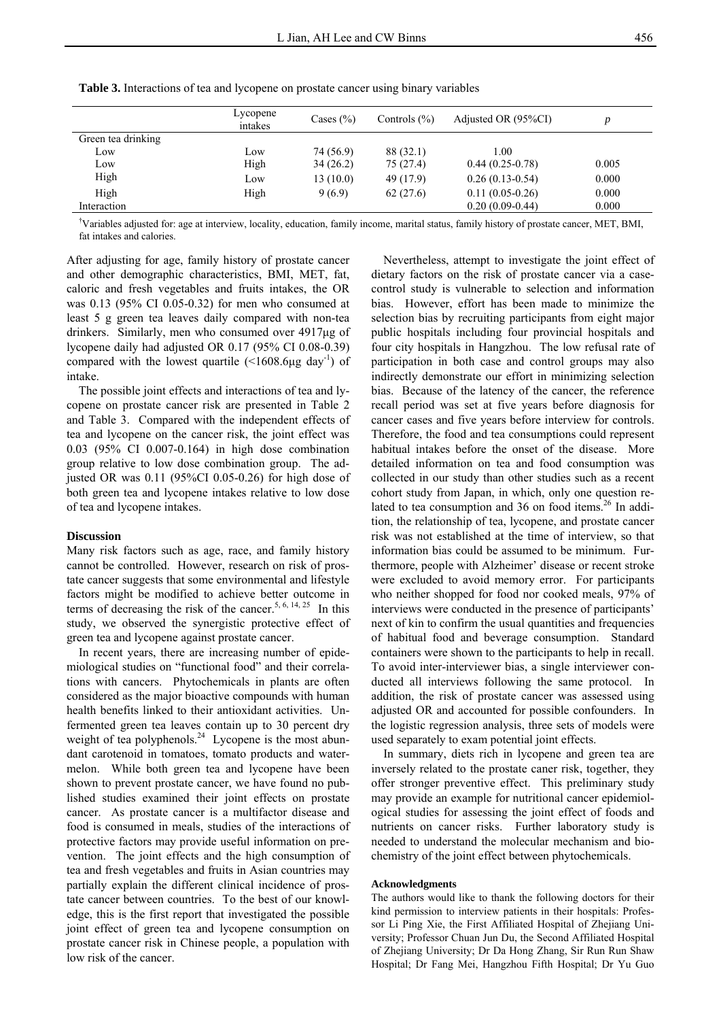|                    | Lycopene<br>intakes | Cases $(\% )$ | Controls $(\%)$ | Adjusted OR (95%CI) |       |
|--------------------|---------------------|---------------|-----------------|---------------------|-------|
| Green tea drinking |                     |               |                 |                     |       |
| LOW                | Low                 | 74 (56.9)     | 88 (32.1)       | 1.00                |       |
| LOW                | High                | 34(26.2)      | 75 (27.4)       | $0.44(0.25-0.78)$   | 0.005 |
| High               | Low                 | 13(10.0)      | 49 (17.9)       | $0.26(0.13-0.54)$   | 0.000 |
| High               | High                | 9(6.9)        | 62(27.6)        | $0.11(0.05-0.26)$   | 0.000 |
| Interaction        |                     |               |                 | $0.20(0.09-0.44)$   | 0.000 |

**Table 3.** Interactions of tea and lycopene on prostate cancer using binary variables

† Variables adjusted for: age at interview, locality, education, family income, marital status, family history of prostate cancer, MET, BMI, fat intakes and calories.

After adjusting for age, family history of prostate cancer and other demographic characteristics, BMI, MET, fat, caloric and fresh vegetables and fruits intakes, the OR was 0.13 (95% CI 0.05-0.32) for men who consumed at least 5 g green tea leaves daily compared with non-tea drinkers. Similarly, men who consumed over 4917μg of lycopene daily had adjusted OR 0.17 (95% CI 0.08-0.39) compared with the lowest quartile  $(\leq 1608.6\mu g \, day^{-1})$  of intake.

The possible joint effects and interactions of tea and lycopene on prostate cancer risk are presented in Table 2 and Table 3. Compared with the independent effects of tea and lycopene on the cancer risk, the joint effect was 0.03 (95% CI 0.007-0.164) in high dose combination group relative to low dose combination group. The adjusted OR was 0.11 (95%CI 0.05-0.26) for high dose of both green tea and lycopene intakes relative to low dose of tea and lycopene intakes.

#### **Discussion**

Many risk factors such as age, race, and family history cannot be controlled. However, research on risk of prostate cancer suggests that some environmental and lifestyle factors might be modified to achieve better outcome in terms of decreasing the risk of the cancer.<sup>5, 6, 14, 25</sup> In this study, we observed the synergistic protective effect of green tea and lycopene against prostate cancer.

In recent years, there are increasing number of epidemiological studies on "functional food" and their correlations with cancers. Phytochemicals in plants are often considered as the major bioactive compounds with human health benefits linked to their antioxidant activities. Unfermented green tea leaves contain up to 30 percent dry weight of tea polyphenols. $24$  Lycopene is the most abundant carotenoid in tomatoes, tomato products and watermelon. While both green tea and lycopene have been shown to prevent prostate cancer, we have found no published studies examined their joint effects on prostate cancer. As prostate cancer is a multifactor disease and food is consumed in meals, studies of the interactions of protective factors may provide useful information on prevention. The joint effects and the high consumption of tea and fresh vegetables and fruits in Asian countries may partially explain the different clinical incidence of prostate cancer between countries. To the best of our knowledge, this is the first report that investigated the possible joint effect of green tea and lycopene consumption on prostate cancer risk in Chinese people, a population with low risk of the cancer.

Nevertheless, attempt to investigate the joint effect of dietary factors on the risk of prostate cancer via a casecontrol study is vulnerable to selection and information bias. However, effort has been made to minimize the selection bias by recruiting participants from eight major public hospitals including four provincial hospitals and four city hospitals in Hangzhou. The low refusal rate of participation in both case and control groups may also indirectly demonstrate our effort in minimizing selection bias. Because of the latency of the cancer, the reference recall period was set at five years before diagnosis for cancer cases and five years before interview for controls. Therefore, the food and tea consumptions could represent habitual intakes before the onset of the disease. More detailed information on tea and food consumption was collected in our study than other studies such as a recent cohort study from Japan, in which, only one question related to tea consumption and 36 on food items.<sup>26</sup> In addition, the relationship of tea, lycopene, and prostate cancer risk was not established at the time of interview, so that information bias could be assumed to be minimum. Furthermore, people with Alzheimer' disease or recent stroke were excluded to avoid memory error. For participants who neither shopped for food nor cooked meals, 97% of interviews were conducted in the presence of participants' next of kin to confirm the usual quantities and frequencies of habitual food and beverage consumption. Standard containers were shown to the participants to help in recall. To avoid inter-interviewer bias, a single interviewer conducted all interviews following the same protocol. In addition, the risk of prostate cancer was assessed using adjusted OR and accounted for possible confounders. In the logistic regression analysis, three sets of models were used separately to exam potential joint effects.

In summary, diets rich in lycopene and green tea are inversely related to the prostate caner risk, together, they offer stronger preventive effect. This preliminary study may provide an example for nutritional cancer epidemiological studies for assessing the joint effect of foods and nutrients on cancer risks. Further laboratory study is needed to understand the molecular mechanism and biochemistry of the joint effect between phytochemicals.

#### **Acknowledgments**

The authors would like to thank the following doctors for their kind permission to interview patients in their hospitals: Professor Li Ping Xie, the First Affiliated Hospital of Zhejiang University; Professor Chuan Jun Du, the Second Affiliated Hospital of Zhejiang University; Dr Da Hong Zhang, Sir Run Run Shaw Hospital; Dr Fang Mei, Hangzhou Fifth Hospital; Dr Yu Guo